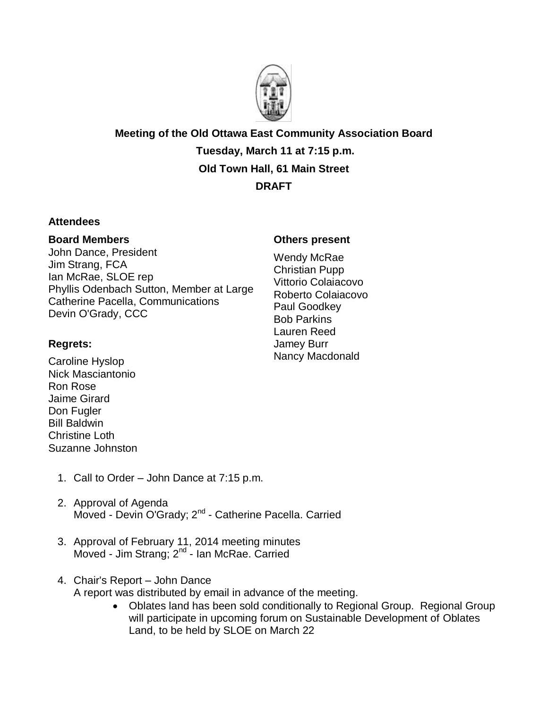

**Meeting of the Old Ottawa East Community Association Board Tuesday, March 11 at 7:15 p.m. Old Town Hall, 61 Main Street DRAFT**

## **Attendees**

## **Board Members**

John Dance, President Jim Strang, FCA Ian McRae, SLOE rep Phyllis Odenbach Sutton, Member at Large Catherine Pacella, Communications Devin O'Grady, CCC

## **Others present**

Wendy McRae Christian Pupp Vittorio Colaiacovo Roberto Colaiacovo Paul Goodkey Bob Parkins Lauren Reed Jamey Burr Nancy Macdonald

## **Regrets:**

Caroline Hyslop Nick Masciantonio Ron Rose Jaime Girard Don Fugler Bill Baldwin Christine Loth Suzanne Johnston

- 1. Call to Order John Dance at 7:15 p.m.
- 2. Approval of Agenda Moved - Devin O'Grady; 2<sup>nd</sup> - Catherine Pacella. Carried
- 3. Approval of February 11, 2014 meeting minutes Moved - Jim Strang; 2<sup>nd</sup> - Ian McRae. Carried
- 4. Chair's Report John Dance

A report was distributed by email in advance of the meeting.

 Oblates land has been sold conditionally to Regional Group. Regional Group will participate in upcoming forum on Sustainable Development of Oblates Land, to be held by SLOE on March 22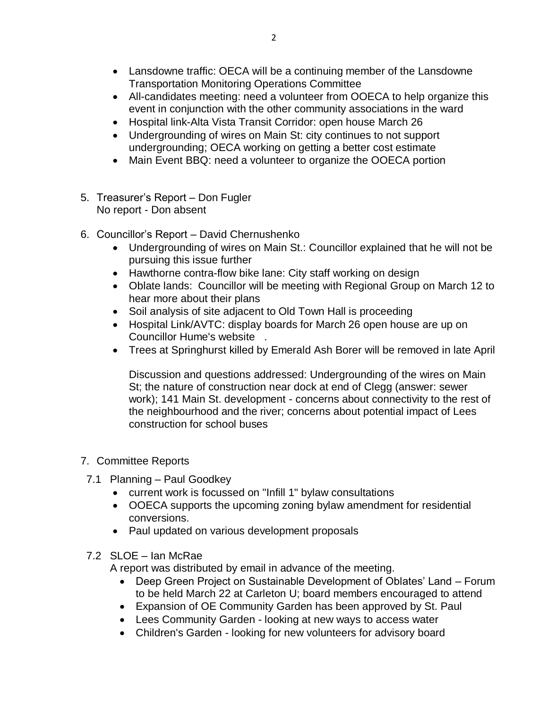- Lansdowne traffic: OECA will be a continuing member of the Lansdowne Transportation Monitoring Operations Committee
- All-candidates meeting: need a volunteer from OOECA to help organize this event in conjunction with the other community associations in the ward
- Hospital link-Alta Vista Transit Corridor: open house March 26
- Undergrounding of wires on Main St: city continues to not support undergrounding; OECA working on getting a better cost estimate
- Main Event BBQ: need a volunteer to organize the OOECA portion
- 5. Treasurer's Report Don Fugler No report - Don absent
- 6. Councillor's Report David Chernushenko
	- Undergrounding of wires on Main St.: Councillor explained that he will not be pursuing this issue further
	- Hawthorne contra-flow bike lane: City staff working on design
	- Oblate lands: Councillor will be meeting with Regional Group on March 12 to hear more about their plans
	- Soil analysis of site adjacent to Old Town Hall is proceeding
	- Hospital Link/AVTC: display boards for March 26 open house are up on Councillor Hume's website .
	- Trees at Springhurst killed by Emerald Ash Borer will be removed in late April

Discussion and questions addressed: Undergrounding of the wires on Main St; the nature of construction near dock at end of Clegg (answer: sewer work); 141 Main St. development - concerns about connectivity to the rest of the neighbourhood and the river; concerns about potential impact of Lees construction for school buses

- 7. Committee Reports
- 7.1 Planning Paul Goodkey
	- current work is focussed on "Infill 1" bylaw consultations
	- OOECA supports the upcoming zoning bylaw amendment for residential conversions.
	- Paul updated on various development proposals
- 7.2 SLOE Ian McRae

A report was distributed by email in advance of the meeting.

- Deep Green Project on Sustainable Development of Oblates' Land Forum to be held March 22 at Carleton U; board members encouraged to attend
- Expansion of OE Community Garden has been approved by St. Paul
- Lees Community Garden looking at new ways to access water
- Children's Garden looking for new volunteers for advisory board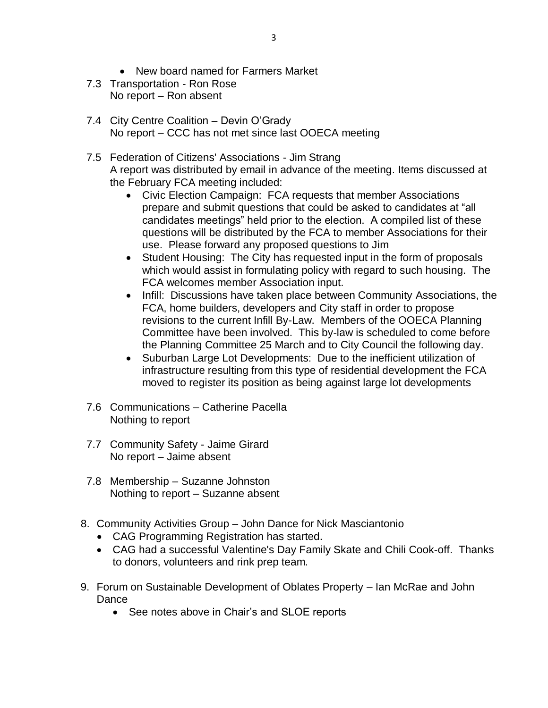- New board named for Farmers Market
- 7.3 Transportation Ron Rose No report – Ron absent
- 7.4 City Centre Coalition Devin O'Grady No report – CCC has not met since last OOECA meeting
- 7.5 Federation of Citizens' Associations Jim Strang A report was distributed by email in advance of the meeting. Items discussed at the February FCA meeting included:
	- Civic Election Campaign: FCA requests that member Associations prepare and submit questions that could be asked to candidates at "all candidates meetings" held prior to the election. A compiled list of these questions will be distributed by the FCA to member Associations for their use. Please forward any proposed questions to Jim
	- Student Housing: The City has requested input in the form of proposals which would assist in formulating policy with regard to such housing. The FCA welcomes member Association input.
	- Infill: Discussions have taken place between Community Associations, the FCA, home builders, developers and City staff in order to propose revisions to the current Infill By-Law. Members of the OOECA Planning Committee have been involved. This by-law is scheduled to come before the Planning Committee 25 March and to City Council the following day.
	- Suburban Large Lot Developments: Due to the inefficient utilization of infrastructure resulting from this type of residential development the FCA moved to register its position as being against large lot developments
- 7.6 Communications Catherine Pacella Nothing to report
- 7.7 Community Safety Jaime Girard No report – Jaime absent
- 7.8 Membership Suzanne Johnston Nothing to report – Suzanne absent
- 8. Community Activities Group John Dance for Nick Masciantonio
	- CAG Programming Registration has started.
	- CAG had a successful Valentine's Day Family Skate and Chili Cook-off. Thanks to donors, volunteers and rink prep team.
- 9. Forum on Sustainable Development of Oblates Property Ian McRae and John Dance
	- See notes above in Chair's and SLOE reports